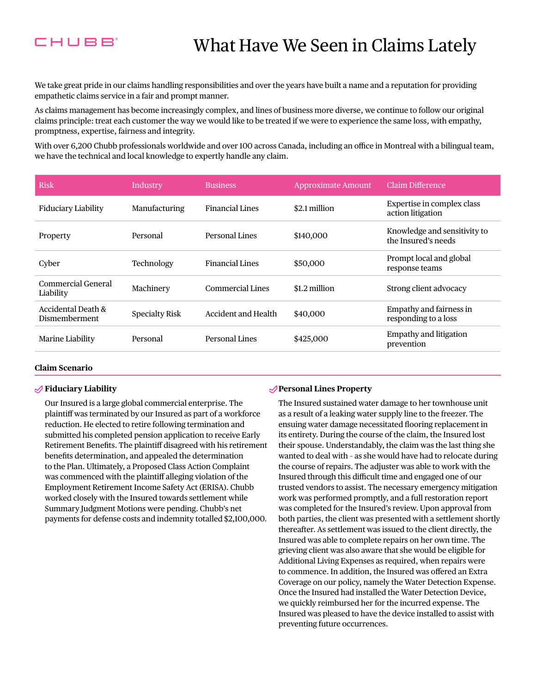

We take great pride in our claims handling responsibilities and over the years have built a name and a reputation for providing empathetic claims service in a fair and prompt manner.

As claims management has become increasingly complex, and lines of business more diverse, we continue to follow our original claims principle: treat each customer the way we would like to be treated if we were to experience the same loss, with empathy, promptness, expertise, fairness and integrity.

With over 6,200 Chubb professionals worldwide and over 100 across Canada, including an office in Montreal with a bilingual team, we have the technical and local knowledge to expertly handle any claim.

| <b>Risk</b>                         | Industry              | <b>Business</b>        | <b>Approximate Amount</b> | Claim Difference                                    |
|-------------------------------------|-----------------------|------------------------|---------------------------|-----------------------------------------------------|
| Fiduciary Liability                 | Manufacturing         | <b>Financial Lines</b> | \$2.1 million             | Expertise in complex class<br>action litigation     |
| Property                            | Personal              | <b>Personal Lines</b>  | \$140,000                 | Knowledge and sensitivity to<br>the Insured's needs |
| Cyber                               | Technology            | <b>Financial Lines</b> | \$50,000                  | Prompt local and global<br>response teams           |
| Commercial General<br>Liability     | Machinery             | Commercial Lines       | $$1.2$ million            | Strong client advocacy                              |
| Accidental Death &<br>Dismemberment | <b>Specialty Risk</b> | Accident and Health    | \$40,000                  | Empathy and fairness in<br>responding to a loss     |
| Marine Liability                    | Personal              | <b>Personal Lines</b>  | \$425,000                 | <b>Empathy and litigation</b><br>prevention         |

### **Claim Scenario**

### **Fiduciary Liability**

Our Insured is a large global commercial enterprise. The plaintif was terminated by our Insured as part of a workforce reduction. He elected to retire following termination and submitted his completed pension application to receive Early Retirement Benefts. The plaintif disagreed with his retirement benefts determination, and appealed the determination to the Plan. Ultimately, a Proposed Class Action Complaint was commenced with the plaintif alleging violation of the Employment Retirement Income Safety Act (ERISA). Chubb worked closely with the Insured towards settlement while Summary Judgment Motions were pending. Chubb's net payments for defense costs and indemnity totalled \$2,100,000.

## **Personal Lines Property**

The Insured sustained water damage to her townhouse unit as a result of a leaking water supply line to the freezer. The ensuing water damage necessitated flooring replacement in its entirety. During the course of the claim, the Insured lost their spouse. Understandably, the claim was the last thing she wanted to deal with – as she would have had to relocate during the course of repairs. The adjuster was able to work with the Insured through this difficult time and engaged one of our trusted vendors to assist. The necessary emergency mitigation work was performed promptly, and a full restoration report was completed for the Insured's review. Upon approval from both parties, the client was presented with a settlement shortly thereafter. As settlement was issued to the client directly, the Insured was able to complete repairs on her own time. The grieving client was also aware that she would be eligible for Additional Living Expenses as required, when repairs were to commence. In addition, the Insured was ofered an Extra Coverage on our policy, namely the Water Detection Expense. Once the Insured had installed the Water Detection Device, we quickly reimbursed her for the incurred expense. The Insured was pleased to have the device installed to assist with preventing future occurrences.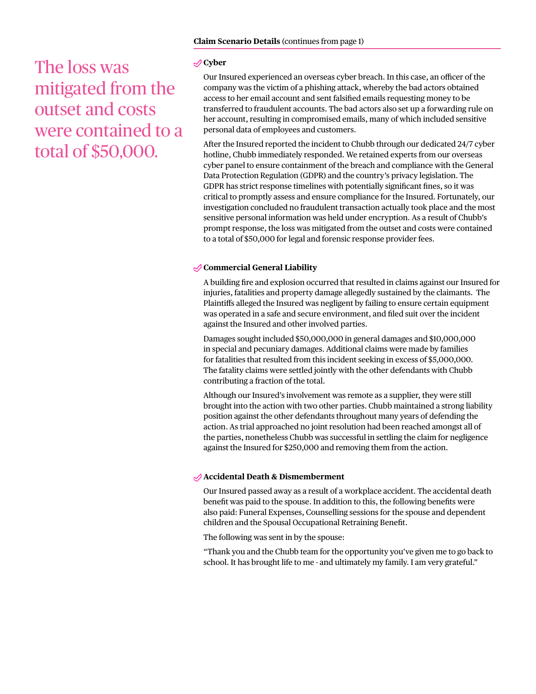The loss was mitigated from the outset and costs were contained to a total of \$50,000.

# **Cyber**

Our Insured experienced an overseas cyber breach. In this case, an officer of the company was the victim of a phishing attack, whereby the bad actors obtained access to her email account and sent falsifed emails requesting money to be transferred to fraudulent accounts. The bad actors also set up a forwarding rule on her account, resulting in compromised emails, many of which included sensitive personal data of employees and customers.

After the Insured reported the incident to Chubb through our dedicated 24/7 cyber hotline, Chubb immediately responded. We retained experts from our overseas cyber panel to ensure containment of the breach and compliance with the General Data Protection Regulation (GDPR) and the country's privacy legislation. The GDPR has strict response timelines with potentially signifcant fnes, so it was critical to promptly assess and ensure compliance for the Insured. Fortunately, our investigation concluded no fraudulent transaction actually took place and the most sensitive personal information was held under encryption. As a result of Chubb's prompt response, the loss was mitigated from the outset and costs were contained to a total of \$50,000 for legal and forensic response provider fees.

# **Commercial General Liability**

A building fre and explosion occurred that resulted in claims against our Insured for injuries, fatalities and property damage allegedly sustained by the claimants. The Plaintifs alleged the Insured was negligent by failing to ensure certain equipment was operated in a safe and secure environment, and fled suit over the incident against the Insured and other involved parties.

Damages sought included \$50,000,000 in general damages and \$10,000,000 in special and pecuniary damages. Additional claims were made by families for fatalities that resulted from this incident seeking in excess of \$5,000,000. The fatality claims were settled jointly with the other defendants with Chubb contributing a fraction of the total.

Although our Insured's involvement was remote as a supplier, they were still brought into the action with two other parties. Chubb maintained a strong liability position against the other defendants throughout many years of defending the action. As trial approached no joint resolution had been reached amongst all of the parties, nonetheless Chubb was successful in settling the claim for negligence against the Insured for \$250,000 and removing them from the action.

## **Accidental Death & Dismemberment**

Our Insured passed away as a result of a workplace accident. The accidental death beneft was paid to the spouse. In addition to this, the following benefts were also paid: Funeral Expenses, Counselling sessions for the spouse and dependent children and the Spousal Occupational Retraining Beneft.

The following was sent in by the spouse:

"Thank you and the Chubb team for the opportunity you've given me to go back to school. It has brought life to me - and ultimately my family. I am very grateful."